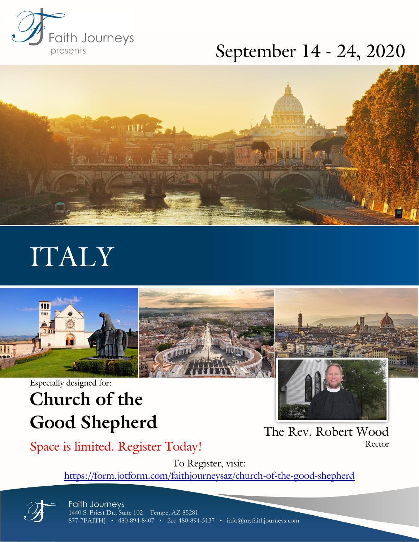

# September 14 - 24, 2020



# ITALY



Especially designed for:

# **Church of the Good Shepherd** The Rev. Robert Wood



Space is limited. Register Today!

Rector

To Register, visit:

<https://form.jotform.com/faithjourneysaz/church-of-the-good-shepherd>



Faith Journeys 1440 S. Priest Dr., Suite 102 Tempe, AZ 85281 877-7FAITHJ • 480-894-8407 • fax: 480-894-5137 • info@myfaithjourneys.com